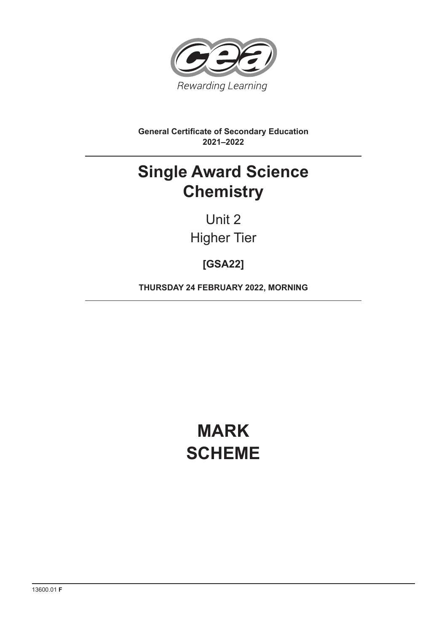

**General Certificate of Secondary Education 2021–2022**

## **Single Award Science Chemistry**

Unit 2 Higher Tier

**[GSA22]**

**THURSDAY 24 FEBRUARY 2022, MORNING**

# **MARK SCHEME**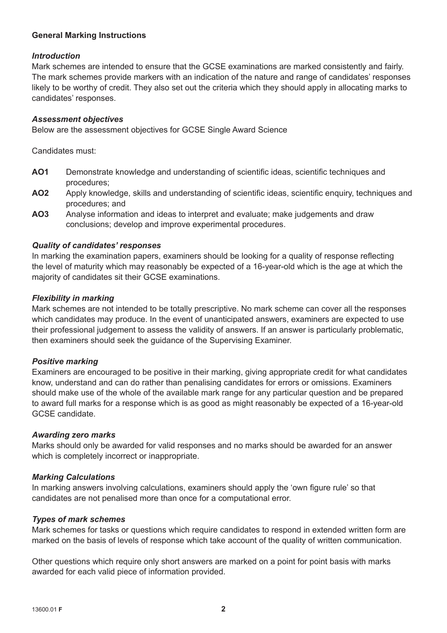## **General Marking Instructions**

## *Introduction*

Mark schemes are intended to ensure that the GCSE examinations are marked consistently and fairly. The mark schemes provide markers with an indication of the nature and range of candidates' responses likely to be worthy of credit. They also set out the criteria which they should apply in allocating marks to candidates' responses.

#### *Assessment objectives*

Below are the assessment objectives for GCSE Single Award Science

Candidates must:

- AO1 Demonstrate knowledge and understanding of scientific ideas, scientific techniques and procedures;
- AO2 Apply knowledge, skills and understanding of scientific ideas, scientific enquiry, techniques and procedures; and
- **AO3** Analyse information and ideas to interpret and evaluate; make judgements and draw conclusions; develop and improve experimental procedures.

## *Quality of candidates' responses*

In marking the examination papers, examiners should be looking for a quality of response reflecting the level of maturity which may reasonably be expected of a 16-year-old which is the age at which the majority of candidates sit their GCSE examinations.

#### *Flexibility in marking*

Mark schemes are not intended to be totally prescriptive. No mark scheme can cover all the responses which candidates may produce. In the event of unanticipated answers, examiners are expected to use their professional judgement to assess the validity of answers. If an answer is particularly problematic, then examiners should seek the guidance of the Supervising Examiner.

## *Positive marking*

Examiners are encouraged to be positive in their marking, giving appropriate credit for what candidates know, understand and can do rather than penalising candidates for errors or omissions. Examiners should make use of the whole of the available mark range for any particular question and be prepared to award full marks for a response which is as good as might reasonably be expected of a 16-year-old GCSE candidate.

#### *Awarding zero marks*

Marks should only be awarded for valid responses and no marks should be awarded for an answer which is completely incorrect or inappropriate.

## *Marking Calculations*

In marking answers involving calculations, examiners should apply the 'own figure rule' so that candidates are not penalised more than once for a computational error.

#### *Types of mark schemes*

Mark schemes for tasks or questions which require candidates to respond in extended written form are marked on the basis of levels of response which take account of the quality of written communication.

Other questions which require only short answers are marked on a point for point basis with marks awarded for each valid piece of information provided.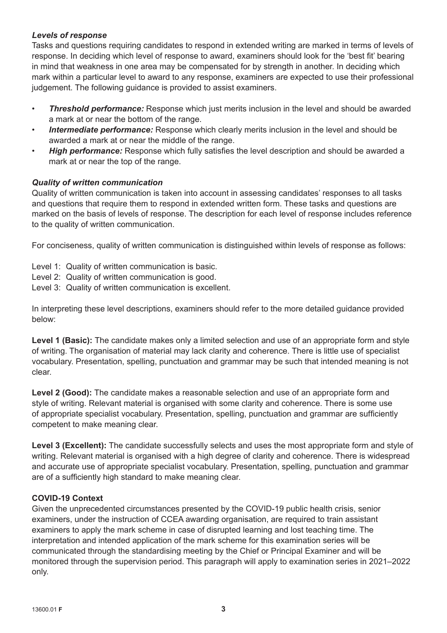## *Levels of response*

Tasks and questions requiring candidates to respond in extended writing are marked in terms of levels of response. In deciding which level of response to award, examiners should look for the 'best fit' bearing in mind that weakness in one area may be compensated for by strength in another. In deciding which mark within a particular level to award to any response, examiners are expected to use their professional judgement. The following guidance is provided to assist examiners.

- *Threshold performance:* Response which just merits inclusion in the level and should be awarded a mark at or near the bottom of the range.
- **Intermediate performance:** Response which clearly merits inclusion in the level and should be awarded a mark at or near the middle of the range.
- **High performance:** Response which fully satisfies the level description and should be awarded a mark at or near the top of the range.

## *Quality of written communication*

Quality of written communication is taken into account in assessing candidates' responses to all tasks and questions that require them to respond in extended written form. These tasks and questions are marked on the basis of levels of response. The description for each level of response includes reference to the quality of written communication.

For conciseness, quality of written communication is distinguished within levels of response as follows:

- Level 1: Quality of written communication is basic.
- Level 2: Quality of written communication is good.
- Level 3: Quality of written communication is excellent.

In interpreting these level descriptions, examiners should refer to the more detailed guidance provided below:

Level 1 (Basic): The candidate makes only a limited selection and use of an appropriate form and style of writing. The organisation of material may lack clarity and coherence. There is little use of specialist vocabulary. Presentation, spelling, punctuation and grammar may be such that intended meaning is not clear.

**Level 2 (Good):** The candidate makes a reasonable selection and use of an appropriate form and style of writing. Relevant material is organised with some clarity and coherence. There is some use of appropriate specialist vocabulary. Presentation, spelling, punctuation and grammar are sufficiently competent to make meaning clear.

Level 3 (Excellent): The candidate successfully selects and uses the most appropriate form and style of writing. Relevant material is organised with a high degree of clarity and coherence. There is widespread and accurate use of appropriate specialist vocabulary. Presentation, spelling, punctuation and grammar are of a sufficiently high standard to make meaning clear.

## **COVID-19 Context**

Given the unprecedented circumstances presented by the COVID-19 public health crisis, senior examiners, under the instruction of CCEA awarding organisation, are required to train assistant examiners to apply the mark scheme in case of disrupted learning and lost teaching time. The interpretation and intended application of the mark scheme for this examination series will be communicated through the standardising meeting by the Chief or Principal Examiner and will be monitored through the supervision period. This paragraph will apply to examination series in 2021–2022 only.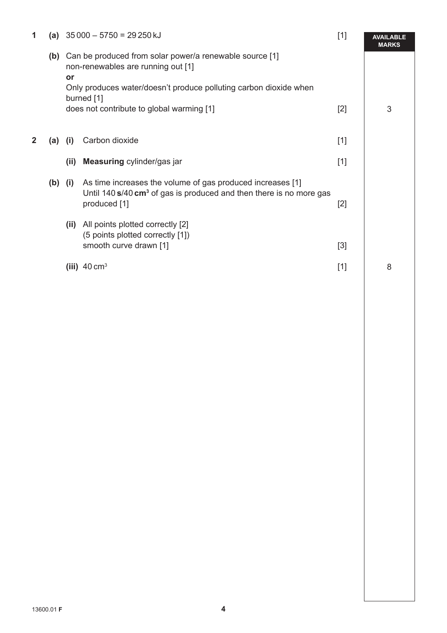| 1 |           | (a) $35000 - 5750 = 29250 \text{ kJ}$                                                                                                                                                  |                                                                                                                                                                  | $[1]$ | <b>AVAILABLE</b><br><b>MARKS</b> |
|---|-----------|----------------------------------------------------------------------------------------------------------------------------------------------------------------------------------------|------------------------------------------------------------------------------------------------------------------------------------------------------------------|-------|----------------------------------|
|   | (b)       | Can be produced from solar power/a renewable source [1]<br>non-renewables are running out [1]<br>or<br>Only produces water/doesn't produce polluting carbon dioxide when<br>burned [1] |                                                                                                                                                                  |       |                                  |
|   |           | does not contribute to global warming [1]                                                                                                                                              |                                                                                                                                                                  |       | 3                                |
| 2 | (a)       | (i)                                                                                                                                                                                    | Carbon dioxide                                                                                                                                                   | $[1]$ |                                  |
|   |           | (ii)                                                                                                                                                                                   | Measuring cylinder/gas jar                                                                                                                                       | $[1]$ |                                  |
|   | $(b)$ (i) |                                                                                                                                                                                        | As time increases the volume of gas produced increases [1]<br>Until 140 $s$ /40 cm <sup>3</sup> of gas is produced and then there is no more gas<br>produced [1] | $[2]$ |                                  |
|   |           | (ii)                                                                                                                                                                                   | All points plotted correctly [2]<br>(5 points plotted correctly [1])<br>smooth curve drawn [1]                                                                   | $[3]$ |                                  |
|   |           |                                                                                                                                                                                        | (iii) $40 \text{ cm}^3$                                                                                                                                          | $[1]$ | 8                                |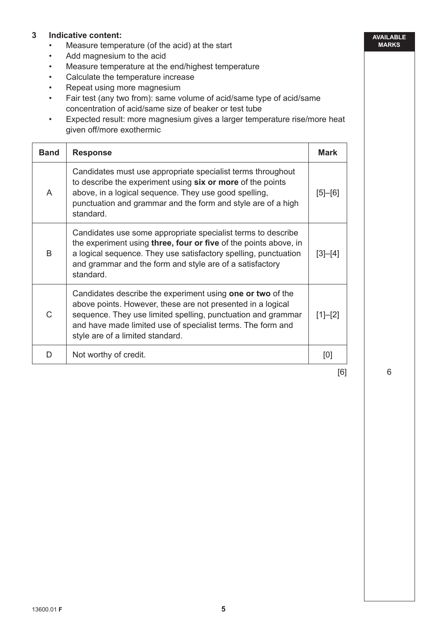## **3 Indicative content:**

- Measure temperature (of the acid) at the start
- Add magnesium to the acid
- Measure temperature at the end/highest temperature
- Calculate the temperature increase
- Repeat using more magnesium
- Fair test (any two from): same volume of acid/same type of acid/same concentration of acid/same size of beaker or test tube
- Expected result: more magnesium gives a larger temperature rise/more heat given off/more exothermic

| <b>Band</b> | <b>Response</b>                                                                                                                                                                                                                                                                              | <b>Mark</b> |  |  |
|-------------|----------------------------------------------------------------------------------------------------------------------------------------------------------------------------------------------------------------------------------------------------------------------------------------------|-------------|--|--|
| A           | Candidates must use appropriate specialist terms throughout<br>to describe the experiment using six or more of the points<br>above, in a logical sequence. They use good spelling,<br>punctuation and grammar and the form and style are of a high<br>standard.                              |             |  |  |
| B           | Candidates use some appropriate specialist terms to describe<br>the experiment using <b>three, four or five</b> of the points above, in<br>a logical sequence. They use satisfactory spelling, punctuation<br>and grammar and the form and style are of a satisfactory<br>standard.          | $[3]-[4]$   |  |  |
| C           | Candidates describe the experiment using one or two of the<br>above points. However, these are not presented in a logical<br>sequence. They use limited spelling, punctuation and grammar<br>and have made limited use of specialist terms. The form and<br>style are of a limited standard. | $[1]-[2]$   |  |  |
| D           | Not worthy of credit.                                                                                                                                                                                                                                                                        | [0]         |  |  |

[6]

6

**AVAILABLE MARKS**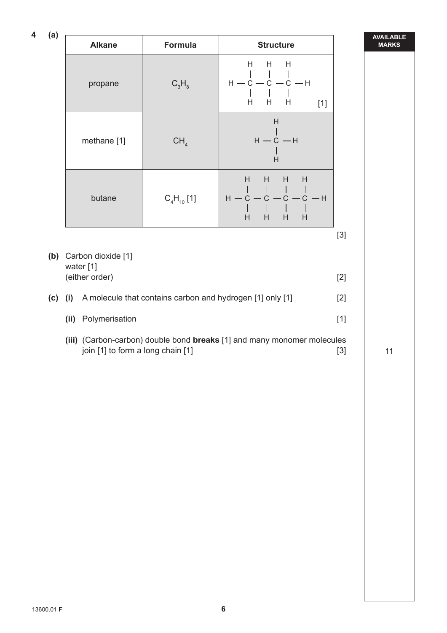**4 (a)**

| (a)<br>4 | <b>Alkane</b>                                                                    | <b>Formula</b>  | <b>Structure</b>                                                                            |       | <b>AVAILABLE</b><br><b>MARKS</b> |
|----------|----------------------------------------------------------------------------------|-----------------|---------------------------------------------------------------------------------------------|-------|----------------------------------|
|          | propane                                                                          | $C_3H_8$        | H.<br>H <sub>a</sub><br>H<br>$\mathbb{R}^n$<br>$H - C - C - C - H$<br>H<br>H.<br>H<br>$[1]$ |       |                                  |
|          | methane [1]                                                                      | CH <sub>4</sub> | H<br>$H - C - H$<br>H                                                                       |       |                                  |
|          | butane                                                                           | $C_4H_{10}$ [1] | H<br>H<br>H<br>H<br>$H - C - C - C - C - H$<br>$\Box$<br>H<br>H<br>H<br>H                   |       |                                  |
|          |                                                                                  |                 |                                                                                             | $[3]$ |                                  |
|          | (b) Carbon dioxide [1]                                                           |                 |                                                                                             |       |                                  |
|          | water [1]<br>(either order)                                                      | $[2]$           |                                                                                             |       |                                  |
| (c)      | A molecule that contains carbon and hydrogen [1] only [1]<br>(i)                 | $[2]$           |                                                                                             |       |                                  |
|          | (ii) Polymerisation                                                              | $[1]$           |                                                                                             |       |                                  |
|          | (iii) (Carbon-carbon) double bond breaks [1] and many monomer molecules<br>$[3]$ | 11              |                                                                                             |       |                                  |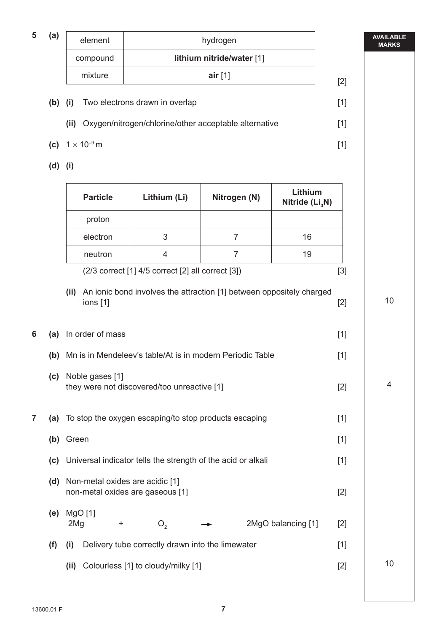**5 (a)**

| element  | hydrogen                  |  |
|----------|---------------------------|--|
| compound | lithium nitride/water [1] |  |
| mixture  | air $[1]$                 |  |

**AVAILABLE MARKS**

- **(b)** (i) Two electrons drawn in overlap [1]
	- **(ii)** Oxygen/nitrogen/chlorine/other acceptable alternative [1]
- **(c)**  $1 \times 10^{-9}$  m [1]

 **(d) (i)** 

|   |     | <b>Particle</b>                                                     | Lithium (Li)                                          | Nitrogen (N)                                                         | Lithium<br>Nitride $(Li3N)$ |       |
|---|-----|---------------------------------------------------------------------|-------------------------------------------------------|----------------------------------------------------------------------|-----------------------------|-------|
|   |     | proton                                                              |                                                       |                                                                      |                             |       |
|   |     | electron                                                            | 3                                                     | $\overline{7}$                                                       | 16                          |       |
|   |     | neutron                                                             | 4                                                     | $\overline{7}$                                                       | 19                          |       |
|   |     |                                                                     | (2/3 correct [1] 4/5 correct [2] all correct [3])     |                                                                      |                             | $[3]$ |
|   |     | (ii)<br>ions $[1]$                                                  |                                                       | An ionic bond involves the attraction [1] between oppositely charged |                             | $[2]$ |
| 6 | (a) | In order of mass                                                    |                                                       |                                                                      |                             | $[1]$ |
|   | (b) |                                                                     |                                                       | Mn is in Mendeleev's table/At is in modern Periodic Table            |                             | $[1]$ |
|   | (c) | Noble gases [1]                                                     | they were not discovered/too unreactive [1]           |                                                                      |                             | $[2]$ |
| 7 | (a) |                                                                     | To stop the oxygen escaping/to stop products escaping |                                                                      |                             | $[1]$ |
|   | (b) | Green                                                               |                                                       |                                                                      |                             | $[1]$ |
|   | (c) |                                                                     |                                                       | Universal indicator tells the strength of the acid or alkali         |                             | $[1]$ |
|   | (d) | Non-metal oxides are acidic [1]<br>non-metal oxides are gaseous [1] |                                                       |                                                                      |                             | $[2]$ |
|   | (e) | MgO [1]<br>2Mg<br>$\ddot{}$                                         | O <sub>2</sub>                                        |                                                                      | 2MgO balancing [1]          | $[2]$ |
|   | (f) | (i)                                                                 | Delivery tube correctly drawn into the limewater      |                                                                      |                             | $[1]$ |
|   |     | (ii)                                                                | Colourless [1] to cloudy/milky [1]                    |                                                                      |                             | $[2]$ |
|   |     |                                                                     |                                                       |                                                                      |                             |       |